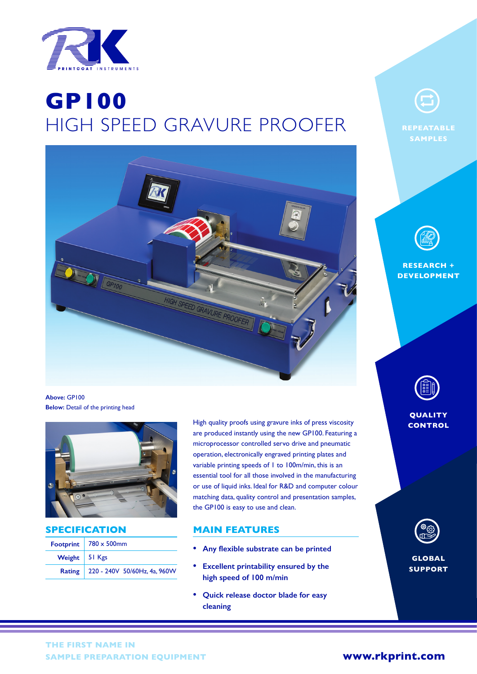

# Simon Payne **GP100**  $HIGH$  SPEED GRAVURE PROOFER REPEATABLE



**Above:** GP100 **Below:** Detail of the printing head



**SPECIFICATION**

|                 | Footprint   $780 \times 500$ mm     |
|-----------------|-------------------------------------|
| Weight   51 Kgs |                                     |
|                 | Rating 220 - 240V 50/60Hz, 4a, 960W |

High quality proofs using gravure inks of press viscosity are produced instantly using the new GP100. Featuring a microprocessor controlled servo drive and pneumatic operation, electronically engraved printing plates and variable printing speeds of 1 to 100m/min, this is an essential tool for all those involved in the manufacturing or use of liquid inks. Ideal for R&D and computer colour matching data, quality control and presentation samples, the GP100 is easy to use and clean.

## **MAIN FEATURES**

- **• Any flexible substrate can be printed**
- **• Excellent printability ensured by the high speed of 100 m/min**
- **• Quick release doctor blade for easy cleaning**



**SAMPLES**



**RESEARCH + DEVELOPMENT**



**QUALITY CONTROL**



**GLOBAL SUPPORT**